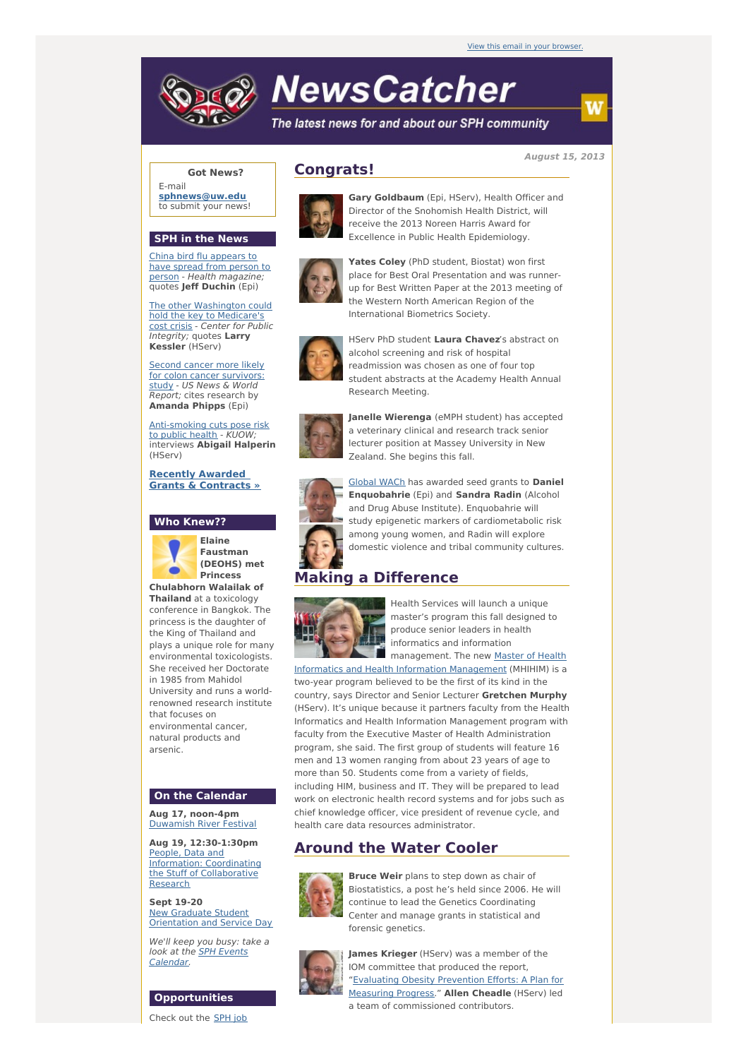# **NewsCatcher**

The latest news for and about our SPH community

**August 15, 2013**

**Got News?** E-mail **[sphnews@uw.edu](mailto:sphnews@uw.edu)** to submit your news!

### **SPH in the News**

China bird flu appears to have spread from person to person - Health [magazine;](http://engage.washington.edu/site/R?i=bUH6cdlkakD7-LSFdas_ew) quotes **Jeff Duchin** (Epi)

The other [Washington](http://engage.washington.edu/site/R?i=eOSmEDz8Bvj5HDw2Gr48uw) could hold the key to Medicare's cost crisis - Center for Public Integrity; quotes **Larry Kessler** (HServ)

**Second cancer more likely** for colon cancer [survivors:](http://engage.washington.edu/site/R?i=M7BqwevLUScUVpCUouA9yw) study - US News & World **Report**; cites research by **Amanda Phipps** (Epi)

[Anti-smoking](http://engage.washington.edu/site/R?i=Druuc7jRNoXar02HzBPLQg) cuts pose risk to public health - KUOW; interviews **Abigail Halperin** (HServ)

**Recently Awarded Grants & [Contracts](http://engage.washington.edu/site/R?i=P_mwLS2YgxEoOhQ8iB6DAg) »**

## **Who Knew??**



**Elaine Faustman (DEOHS) met Princess Chulabhorn Walailak of**

**Thailand** at a toxicology conference in Bangkok. The princess is the daughter of the King of Thailand and plays a unique role for many environmental toxicologists. She received her Doctorate in 1985 from Mahidol University and runs a worldrenowned research institute that focuses on environmental cancer, natural products and arsenic.

#### **On the Calendar**

**Aug 17, noon-4pm** [Duwamish](http://engage.washington.edu/site/R?i=yGKDxW3YCE0ex-k6kalKdw) River Festival

**Aug 19, 12:30-1:30pm** People, Data and Information: Coordinating the Stuff of [Collaborative](http://engage.washington.edu/site/R?i=1xNBUnUm27wSXemMEaMC7A) Research

**Sept 19-20** New Graduate Student [Orientation](http://engage.washington.edu/site/R?i=1eIswljBWxMkeqsWPvCRpw) and Service Day

We'll keep you busy: take a look at the **SPH Events** [Calendar.](http://engage.washington.edu/site/R?i=ZfGYS_05XJeShVWVp2yysw)

#### **Opportunities**

Check out the SPH job

# **Congrats!**



**Gary Goldbaum** (Epi, HServ), Health Officer and Director of the Snohomish Health District, will receive the 2013 Noreen Harris Award for Excellence in Public Health Epidemiology.



**Yates Coley** (PhD student, Biostat) won first place for Best Oral Presentation and was runnerup for Best Written Paper at the 2013 meeting of the Western North American Region of the International Biometrics Society.



HServ PhD student **Laura Chavez**'s abstract on alcohol screening and risk of hospital readmission was chosen as one of four top student abstracts at the Academy Health Annual Research Meeting.



**Janelle Wierenga** (eMPH student) has accepted a veterinary clinical and research track senior lecturer position at Massey University in New Zealand. She begins this fall.



[Global](http://engage.washington.edu/site/R?i=Rg-jUcHivqbJJ7vpbYSIGg) WACh has awarded seed grants to **Daniel Enquobahrie** (Epi) and **Sandra Radin** (Alcohol and Drug Abuse Institute). Enquobahrie will study epigenetic markers of cardiometabolic risk among young women, and Radin will explore domestic violence and tribal community cultures.

# **Making a Difference**



Health Services will launch a unique master's program this fall designed to produce senior leaders in health informatics and information [management.](http://engage.washington.edu/site/R?i=ZGfMFplAGeRdD67xaRWBug) The new Master of Health

Informatics and Health Information Management (MHIHIM) is a two-year program believed to be the first of its kind in the country, says Director and Senior Lecturer **Gretchen Murphy** (HServ). It's unique because it partners faculty from the Health Informatics and Health Information Management program with faculty from the Executive Master of Health Administration program, she said. The first group of students will feature 16 men and 13 women ranging from about 23 years of age to more than 50. Students come from a variety of fields, including HIM, business and IT. They will be prepared to lead work on electronic health record systems and for jobs such as chief knowledge officer, vice president of revenue cycle, and health care data resources administrator.

# **Around the Water Cooler**



**Bruce Weir** plans to step down as chair of Biostatistics, a post he's held since 2006. He will continue to lead the Genetics Coordinating Center and manage grants in statistical and forensic genetics.



**James Krieger** (HServ) was a member of the IOM committee that produced the report, ["Evaluating](http://engage.washington.edu/site/R?i=RTiOuQrij-zruqR4EHKqcg) Obesity Prevention Efforts: A Plan for Measuring Progress." **Allen Cheadle** (HServ) led

a team of commissioned contributors.